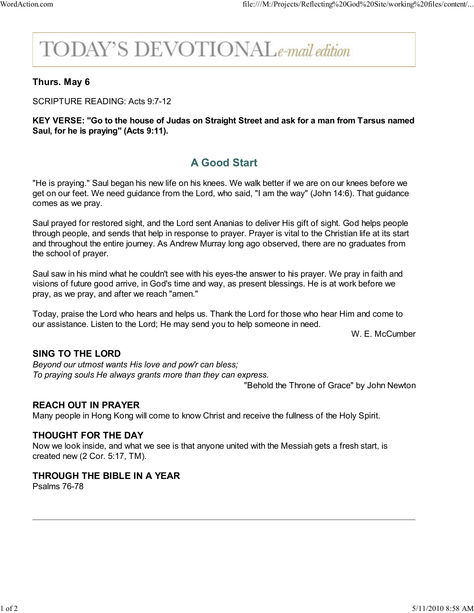# **DDAY'S DEVOTIONALe-mail edition**

# Thurs. May 6

SCRIPTURE READING: Acts 9:7-12

#### KEY VERSE: "Go to the house of Judas on Straight Street and ask for a man from Tarsus named Saul, for he is praying" (Acts 9:11).

# A Good Start

"He is praying." Saul began his new life on his knees. We walk better if we are on our knees before we get on our feet. We need guidance from the Lord, who said, "I am the way" (John 14:6). That guidance comes as we pray.

Saul prayed for restored sight, and the Lord sent Ananias to deliver His gift of sight. God helps people through people, and sends that help in response to prayer. Prayer is vital to the Christian life at its start and throughout the entire journey. As Andrew Murray long ago observed, there are no graduates from the school of prayer.

Saul saw in his mind what he couldn't see with his eyes-the answer to his prayer. We pray in faith and visions of future good arrive, in God's time and way, as present blessings. He is at work before we pray, as we pray, and after we reach "amen."

Today, praise the Lord who hears and helps us. Thank the Lord for those who hear Him and come to our assistance. Listen to the Lord; He may send you to help someone in need.

W. E. McCumber

## SING TO THE LORD

Beyond our utmost wants His love and pow'r can bless; To praying souls He always grants more than they can express.

"Behold the Throne of Grace" by John Newton

## REACH OUT IN PRAYER

Many people in Hong Kong will come to know Christ and receive the fullness of the Holy Spirit.

#### THOUGHT FOR THE DAY

Now we look inside, and what we see is that anyone united with the Messiah gets a fresh start, is created new (2 Cor. 5:17, TM).

#### THROUGH THE BIBLE IN A YEAR

Psalms 76-78